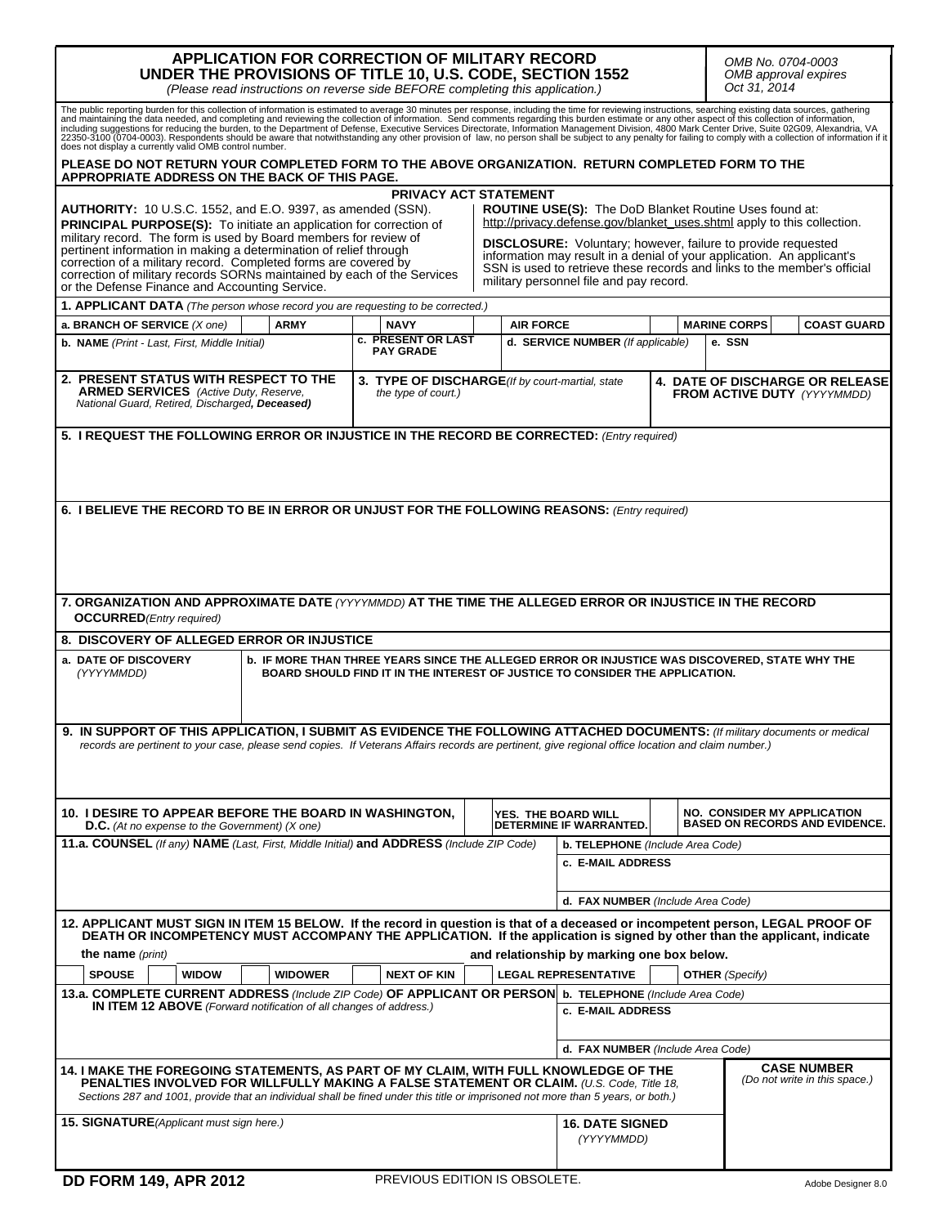| APPLICATION FOR CORRECTION OF MILITARY RECORD<br>UNDER THE PROVISIONS OF TITLE 10, U.S. CODE, SECTION 1552<br>(Please read instructions on reverse side BEFORE completing this application.)                                                                                                                                                         |                                                                        |                                                                                                                                                                                                                                                                                                                                                                                                       |  |                  |                                                                              |  |                               | OMB No. 0704-0003<br>OMB approval expires<br>Oct 31, 2014 |                                                                             |  |
|------------------------------------------------------------------------------------------------------------------------------------------------------------------------------------------------------------------------------------------------------------------------------------------------------------------------------------------------------|------------------------------------------------------------------------|-------------------------------------------------------------------------------------------------------------------------------------------------------------------------------------------------------------------------------------------------------------------------------------------------------------------------------------------------------------------------------------------------------|--|------------------|------------------------------------------------------------------------------|--|-------------------------------|-----------------------------------------------------------|-----------------------------------------------------------------------------|--|
| The public reporting burden for this collection of information is estimated to average 30 minutes per response, including the time for reviewing instructions, searching existing data sources, gathering and maintaining the<br>does not display a currently valid OMB control number.                                                              |                                                                        |                                                                                                                                                                                                                                                                                                                                                                                                       |  |                  |                                                                              |  |                               |                                                           |                                                                             |  |
| PLEASE DO NOT RETURN YOUR COMPLETED FORM TO THE ABOVE ORGANIZATION. RETURN COMPLETED FORM TO THE<br>APPROPRIATE ADDRESS ON THE BACK OF THIS PAGE.                                                                                                                                                                                                    |                                                                        |                                                                                                                                                                                                                                                                                                                                                                                                       |  |                  |                                                                              |  |                               |                                                           |                                                                             |  |
| AUTHORITY: 10 U.S.C. 1552, and E.O. 9397, as amended (SSN).<br><b>PRINCIPAL PURPOSE(S):</b> To initiate an application for correction of<br>military record. The form is used by Board members for review of<br>pertinent information in making a determination of relief through<br>correction of a military record. Completed forms are covered by |                                                                        | <b>PRIVACY ACT STATEMENT</b><br><b>ROUTINE USE(S):</b> The DoD Blanket Routine Uses found at:<br>http://privacy.defense.gov/blanket_uses.shtml apply to this collection.<br><b>DISCLOSURE:</b> Voluntary; however, failure to provide requested<br>information may result in a denial of your application. An applicant's<br>SSN is used to retrieve these records and links to the member's official |  |                  |                                                                              |  |                               |                                                           |                                                                             |  |
| correction of military records SORNs maintained by each of the Services<br>military personnel file and pay record.<br>or the Defense Finance and Accounting Service.                                                                                                                                                                                 |                                                                        |                                                                                                                                                                                                                                                                                                                                                                                                       |  |                  |                                                                              |  |                               |                                                           |                                                                             |  |
| <b>1. APPLICANT DATA</b> (The person whose record you are requesting to be corrected.)                                                                                                                                                                                                                                                               |                                                                        |                                                                                                                                                                                                                                                                                                                                                                                                       |  |                  |                                                                              |  |                               |                                                           |                                                                             |  |
| a. BRANCH OF SERVICE (X one)                                                                                                                                                                                                                                                                                                                         | <b>ARMY</b>                                                            | <b>NAVY</b><br>c. PRESENT OR LAST                                                                                                                                                                                                                                                                                                                                                                     |  | <b>AIR FORCE</b> | d. SERVICE NUMBER (If applicable)                                            |  | <b>MARINE CORPS</b><br>e. SSN |                                                           | <b>COAST GUARD</b>                                                          |  |
| <b>b. NAME</b> (Print - Last, First, Middle Initial)                                                                                                                                                                                                                                                                                                 |                                                                        | <b>PAY GRADE</b>                                                                                                                                                                                                                                                                                                                                                                                      |  |                  |                                                                              |  |                               |                                                           |                                                                             |  |
| 2. PRESENT STATUS WITH RESPECT TO THE<br><b>ARMED SERVICES</b> (Active Duty, Reserve,<br>National Guard, Retired, Discharged, Deceased)                                                                                                                                                                                                              | 3. TYPE OF DISCHARGE(If by court-martial, state<br>the type of court.) |                                                                                                                                                                                                                                                                                                                                                                                                       |  |                  | <b>4. DATE OF DISCHARGE OR RELEASE</b><br><b>FROM ACTIVE DUTY (YYYYMMDD)</b> |  |                               |                                                           |                                                                             |  |
| 5. I REQUEST THE FOLLOWING ERROR OR INJUSTICE IN THE RECORD BE CORRECTED: (Entry required)                                                                                                                                                                                                                                                           |                                                                        |                                                                                                                                                                                                                                                                                                                                                                                                       |  |                  |                                                                              |  |                               |                                                           |                                                                             |  |
| 6. I BELIEVE THE RECORD TO BE IN ERROR OR UNJUST FOR THE FOLLOWING REASONS: (Entry required)                                                                                                                                                                                                                                                         |                                                                        |                                                                                                                                                                                                                                                                                                                                                                                                       |  |                  |                                                                              |  |                               |                                                           |                                                                             |  |
| 7. ORGANIZATION AND APPROXIMATE DATE (YYYYMMDD) AT THE TIME THE ALLEGED ERROR OR INJUSTICE IN THE RECORD<br><b>OCCURRED</b> (Entry required)                                                                                                                                                                                                         |                                                                        |                                                                                                                                                                                                                                                                                                                                                                                                       |  |                  |                                                                              |  |                               |                                                           |                                                                             |  |
| 8. DISCOVERY OF ALLEGED ERROR OR INJUSTICE                                                                                                                                                                                                                                                                                                           |                                                                        |                                                                                                                                                                                                                                                                                                                                                                                                       |  |                  |                                                                              |  |                               |                                                           |                                                                             |  |
| a. DATE OF DISCOVERY<br><b>b. IF MORE THAN THREE YEARS SINCE THE ALLEGED ERROR OR INJUSTICE WAS DISCOVERED, STATE WHY THE</b><br>(YYYYMMDD)<br>BOARD SHOULD FIND IT IN THE INTEREST OF JUSTICE TO CONSIDER THE APPLICATION.                                                                                                                          |                                                                        |                                                                                                                                                                                                                                                                                                                                                                                                       |  |                  |                                                                              |  |                               |                                                           |                                                                             |  |
| 9. IN SUPPORT OF THIS APPLICATION, I SUBMIT AS EVIDENCE THE FOLLOWING ATTACHED DOCUMENTS: (If military documents or medical<br>records are pertinent to your case, please send copies. If Veterans Affairs records are pertinent, give regional office location and claim number.)                                                                   |                                                                        |                                                                                                                                                                                                                                                                                                                                                                                                       |  |                  |                                                                              |  |                               |                                                           |                                                                             |  |
| 10. I DESIRE TO APPEAR BEFORE THE BOARD IN WASHINGTON,<br><b>D.C.</b> (At no expense to the Government) ( $X$ one)                                                                                                                                                                                                                                   |                                                                        |                                                                                                                                                                                                                                                                                                                                                                                                       |  |                  | YES. THE BOARD WILL<br>DETERMINE IF WARRANTED.                               |  |                               |                                                           | <b>NO. CONSIDER MY APPLICATION</b><br><b>BASED ON RECORDS AND EVIDENCE.</b> |  |
| 11.a. COUNSEL (If any) NAME (Last, First, Middle Initial) and ADDRESS (Include ZIP Code)                                                                                                                                                                                                                                                             |                                                                        |                                                                                                                                                                                                                                                                                                                                                                                                       |  |                  | b. TELEPHONE (Include Area Code)<br>c. E-MAIL ADDRESS                        |  |                               |                                                           |                                                                             |  |
|                                                                                                                                                                                                                                                                                                                                                      |                                                                        |                                                                                                                                                                                                                                                                                                                                                                                                       |  |                  | d. FAX NUMBER (Include Area Code)                                            |  |                               |                                                           |                                                                             |  |
| 12. APPLICANT MUST SIGN IN ITEM 15 BELOW. If the record in question is that of a deceased or incompetent person, LEGAL PROOF OF<br>DEATH OR INCOMPETENCY MUST ACCOMPANY THE APPLICATION. If the application is signed by other than the applicant, indicate<br>the name ( <i>print</i> )<br>and relationship by marking one box below.               |                                                                        |                                                                                                                                                                                                                                                                                                                                                                                                       |  |                  |                                                                              |  |                               |                                                           |                                                                             |  |
| <b>SPOUSE</b><br><b>WIDOW</b>                                                                                                                                                                                                                                                                                                                        | <b>WIDOWER</b>                                                         | <b>NEXT OF KIN</b>                                                                                                                                                                                                                                                                                                                                                                                    |  |                  | <b>LEGAL REPRESENTATIVE</b>                                                  |  |                               | <b>OTHER</b> (Specify)                                    |                                                                             |  |
| 13.a. COMPLETE CURRENT ADDRESS (Include ZIP Code) OF APPLICANT OR PERSON b. TELEPHONE (Include Area Code)<br><b>IN ITEM 12 ABOVE</b> (Forward notification of all changes of address.)                                                                                                                                                               |                                                                        |                                                                                                                                                                                                                                                                                                                                                                                                       |  |                  | c. E-MAIL ADDRESS                                                            |  |                               |                                                           |                                                                             |  |
|                                                                                                                                                                                                                                                                                                                                                      |                                                                        |                                                                                                                                                                                                                                                                                                                                                                                                       |  |                  | d. FAX NUMBER (Include Area Code)                                            |  |                               |                                                           |                                                                             |  |
| 14. I MAKE THE FOREGOING STATEMENTS, AS PART OF MY CLAIM, WITH FULL KNOWLEDGE OF THE<br>PENALTIES INVOLVED FOR WILLFULLY MAKING A FALSE STATEMENT OR CLAIM. (U.S. Code, Title 18,<br>Sections 287 and 1001, provide that an individual shall be fined under this title or imprisoned not more than 5 years, or both.)                                |                                                                        |                                                                                                                                                                                                                                                                                                                                                                                                       |  |                  | <b>CASE NUMBER</b><br>(Do not write in this space.)                          |  |                               |                                                           |                                                                             |  |
| 15. SIGNATURE (Applicant must sign here.)                                                                                                                                                                                                                                                                                                            |                                                                        |                                                                                                                                                                                                                                                                                                                                                                                                       |  |                  | <b>16. DATE SIGNED</b><br>(YYYYMMDD)                                         |  |                               |                                                           |                                                                             |  |